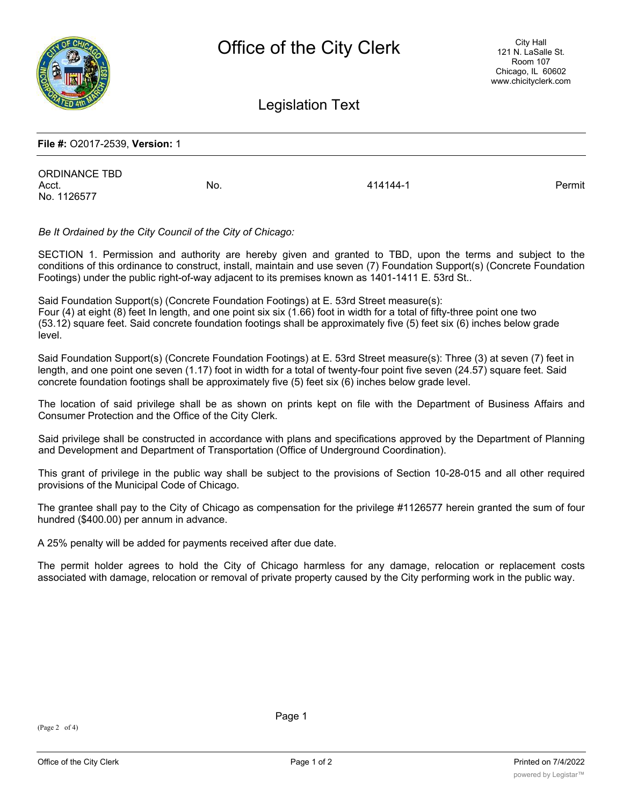

Legislation Text

## **File #:** O2017-2539, **Version:** 1

ORDINANCE TBD Acct. No. 414144-1 Permit No. 1126577

*Be It Ordained by the City Council of the City of Chicago:*

SECTION 1. Permission and authority are hereby given and granted to TBD, upon the terms and subject to the conditions of this ordinance to construct, install, maintain and use seven (7) Foundation Support(s) (Concrete Foundation Footings) under the public right-of-way adjacent to its premises known as 1401-1411 E. 53rd St..

Said Foundation Support(s) (Concrete Foundation Footings) at E. 53rd Street measure(s): Four (4) at eight (8) feet In length, and one point six six (1.66) foot in width for a total of fifty-three point one two (53.12) square feet. Said concrete foundation footings shall be approximately five (5) feet six (6) inches below grade level.

Said Foundation Support(s) (Concrete Foundation Footings) at E. 53rd Street measure(s): Three (3) at seven (7) feet in length, and one point one seven (1.17) foot in width for a total of twenty-four point five seven (24.57) square feet. Said concrete foundation footings shall be approximately five (5) feet six (6) inches below grade level.

The location of said privilege shall be as shown on prints kept on file with the Department of Business Affairs and Consumer Protection and the Office of the City Clerk.

Said privilege shall be constructed in accordance with plans and specifications approved by the Department of Planning and Development and Department of Transportation (Office of Underground Coordination).

This grant of privilege in the public way shall be subject to the provisions of Section 10-28-015 and all other required provisions of the Municipal Code of Chicago.

The grantee shall pay to the City of Chicago as compensation for the privilege #1126577 herein granted the sum of four hundred (\$400.00) per annum in advance.

A 25% penalty will be added for payments received after due date.

The permit holder agrees to hold the City of Chicago harmless for any damage, relocation or replacement costs associated with damage, relocation or removal of private property caused by the City performing work in the public way.